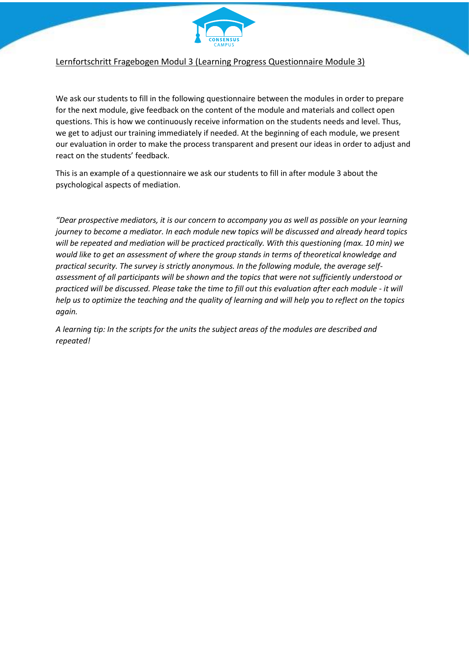

## Lernfortschritt Fragebogen Modul 3 (Learning Progress Questionnaire Module 3)

We ask our students to fill in the following questionnaire between the modules in order to prepare for the next module, give feedback on the content of the module and materials and collect open questions. This is how we continuously receive information on the students needs and level. Thus, we get to adjust our training immediately if needed. At the beginning of each module, we present our evaluation in order to make the process transparent and present our ideas in order to adjust and react on the students' feedback.

This is an example of a questionnaire we ask our students to fill in after module 3 about the psychological aspects of mediation.

*"Dear prospective mediators, it is our concern to accompany you as well as possible on your learning journey to become a mediator. In each module new topics will be discussed and already heard topics will be repeated and mediation will be practiced practically. With this questioning (max. 10 min) we would like to get an assessment of where the group stands in terms of theoretical knowledge and practical security. The survey is strictly anonymous. In the following module, the average selfassessment of all participants will be shown and the topics that were not sufficiently understood or practiced will be discussed. Please take the time to fill out this evaluation after each module - it will help us to optimize the teaching and the quality of learning and will help you to reflect on the topics again.*

*A learning tip: In the scripts for the units the subject areas of the modules are described and repeated!*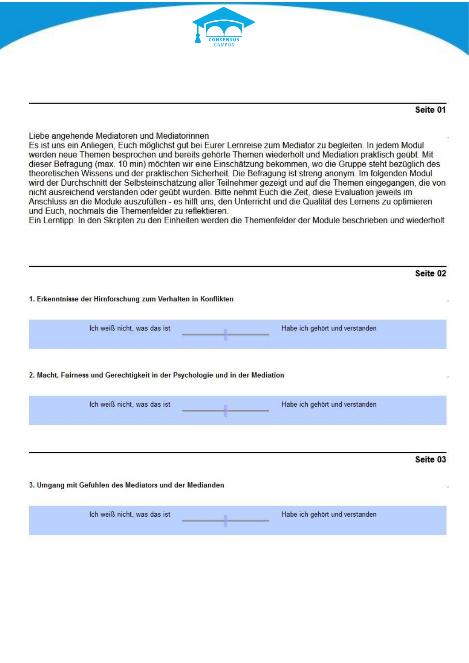

## Seite 01

### Liebe angehende Mediatoren und Mediatorinnen

Es ist uns ein Anliegen, Euch möglichst gut bei Eurer Lernreise zum Mediator zu begleiten. In jedem Modul werden neue Themen besprochen und bereits gehörte Themen wiederholt und Mediation praktisch geübt. Mit dieser Befragung (max. 10 min) möchten wir eine Einschätzung bekommen, wo die Gruppe steht bezüglich des theoretischen Wissens und der praktischen Sicherheit. Die Befragung ist streng anonym. Im folgenden Modul wird der Durchschnitt der Selbsteinschätzung aller Teilnehmer gezeigt und auf die Themen eingegangen, die von nicht ausreichend verstanden oder geübt wurden. Bitte nehmt Euch die Zeit, diese Evaluation jeweils im Anschluss an die Module auszufüllen - es hilft uns, den Unterricht und die Qualität des Lernens zu optimieren und Euch, nochmals die Themenfelder zu reflektieren.

Ein Lerntipp: In den Skripten zu den Einheiten werden die Themenfelder der Module beschrieben und wiederholt

| Ich weiß nicht, was das ist                                                  | Habe ich gehört und verstanden |
|------------------------------------------------------------------------------|--------------------------------|
|                                                                              |                                |
|                                                                              |                                |
| 2. Macht, Fairness und Gerechtigkeit in der Psychologie und in der Mediation |                                |
|                                                                              |                                |
|                                                                              |                                |
| Ich weiß nicht, was das ist                                                  | Habe ich gehört und verstanden |
|                                                                              |                                |
|                                                                              |                                |

Ich weiß nicht, was das ist Habe ich gehört und verstanden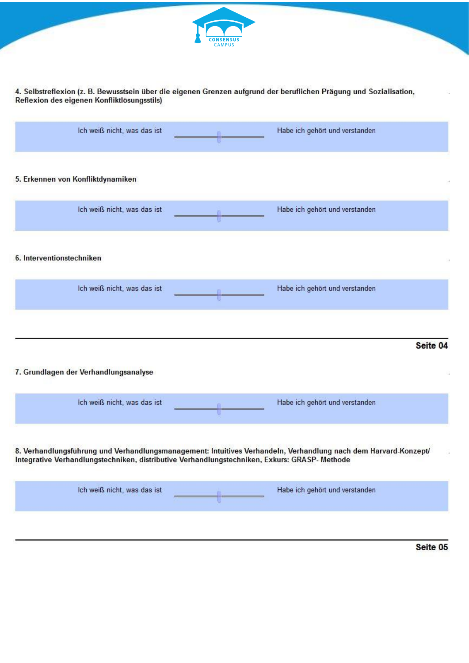

# 4. Selbstreflexion (z. B. Bewusstsein über die eigenen Grenzen aufgrund der beruflichen Prägung und Sozialisation,<br>Reflexion des eigenen Konfliktlösungsstils)

|                                       | Ich weiß nicht, was das ist |                                                                                               | Habe ich gehört und verstanden                                                                                  |          |
|---------------------------------------|-----------------------------|-----------------------------------------------------------------------------------------------|-----------------------------------------------------------------------------------------------------------------|----------|
| 5. Erkennen von Konfliktdynamiken     |                             |                                                                                               |                                                                                                                 |          |
|                                       | Ich weiß nicht, was das ist |                                                                                               | Habe ich gehört und verstanden                                                                                  |          |
| 6. Interventionstechniken             |                             |                                                                                               |                                                                                                                 |          |
|                                       | Ich weiß nicht, was das ist | 一百一                                                                                           | Habe ich gehört und verstanden                                                                                  |          |
|                                       |                             |                                                                                               |                                                                                                                 |          |
| 7. Grundlagen der Verhandlungsanalyse |                             |                                                                                               |                                                                                                                 | Seite 04 |
|                                       | Ich weiß nicht, was das ist |                                                                                               | Habe ich gehört und verstanden                                                                                  |          |
|                                       |                             | Integrative Verhandlungstechniken, distributive Verhandlungstechniken, Exkurs: GRASP- Methode | 8. Verhandlungsführung und Verhandlungsmanagement: Intuitives Verhandeln, Verhandlung nach dem Harvard-Konzept/ |          |
|                                       | Ich weiß nicht, was das ist |                                                                                               | Habe ich gehört und verstanden                                                                                  |          |
|                                       |                             |                                                                                               |                                                                                                                 |          |

Seite 05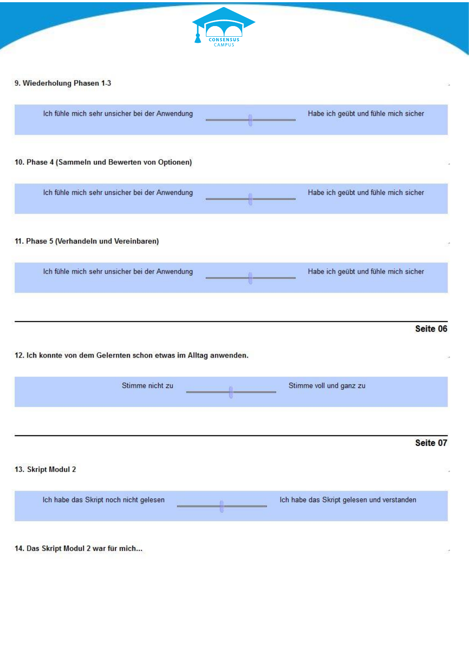

#### 12. Ich konnte von dem Gelernten schon etwas im Alltag anwenden.

| Stimme nicht zu                        | Stimme voll und ganz zu                    |
|----------------------------------------|--------------------------------------------|
| 13. Skript Modul 2                     | Seite 07                                   |
| Ich habe das Skript noch nicht gelesen | Ich habe das Skript gelesen und verstanden |

14. Das Skript Modul 2 war für mich...